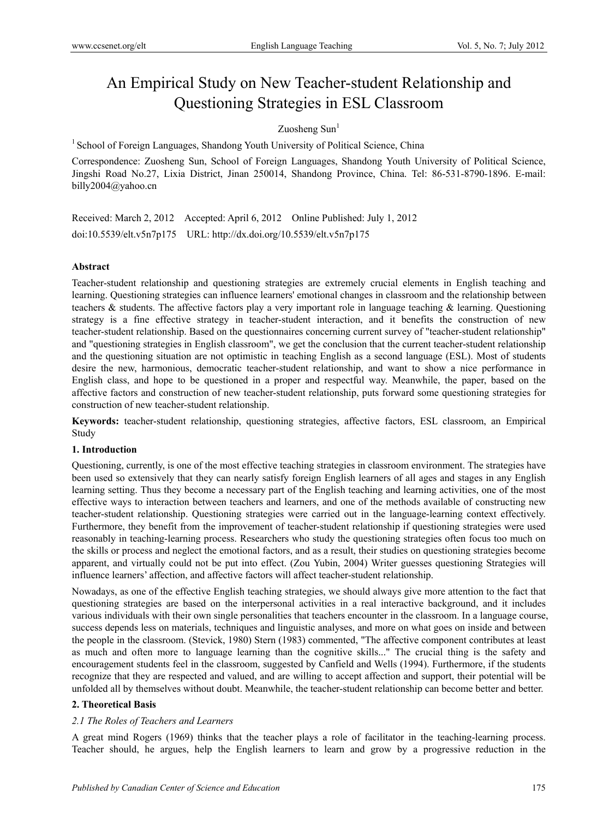# An Empirical Study on New Teacher-student Relationship and Questioning Strategies in ESL Classroom

# Zuosheng  $Sun<sup>1</sup>$

<sup>1</sup> School of Foreign Languages, Shandong Youth University of Political Science, China

Correspondence: Zuosheng Sun, School of Foreign Languages, Shandong Youth University of Political Science, Jingshi Road No.27, Lixia District, Jinan 250014, Shandong Province, China. Tel: 86-531-8790-1896. E-mail: billy2004@yahoo.cn

Received: March 2, 2012 Accepted: April 6, 2012 Online Published: July 1, 2012 doi:10.5539/elt.v5n7p175 URL: http://dx.doi.org/10.5539/elt.v5n7p175

# **Abstract**

Teacher-student relationship and questioning strategies are extremely crucial elements in English teaching and learning. Questioning strategies can influence learners' emotional changes in classroom and the relationship between teachers & students. The affective factors play a very important role in language teaching & learning. Questioning strategy is a fine effective strategy in teacher-student interaction, and it benefits the construction of new teacher-student relationship. Based on the questionnaires concerning current survey of "teacher-student relationship" and "questioning strategies in English classroom", we get the conclusion that the current teacher-student relationship and the questioning situation are not optimistic in teaching English as a second language (ESL). Most of students desire the new, harmonious, democratic teacher-student relationship, and want to show a nice performance in English class, and hope to be questioned in a proper and respectful way. Meanwhile, the paper, based on the affective factors and construction of new teacher-student relationship, puts forward some questioning strategies for construction of new teacher-student relationship.

**Keywords:** teacher-student relationship, questioning strategies, affective factors, ESL classroom, an Empirical Study

## **1. Introduction**

Questioning, currently, is one of the most effective teaching strategies in classroom environment. The strategies have been used so extensively that they can nearly satisfy foreign English learners of all ages and stages in any English learning setting. Thus they become a necessary part of the English teaching and learning activities, one of the most effective ways to interaction between teachers and learners, and one of the methods available of constructing new teacher-student relationship. Questioning strategies were carried out in the language-learning context effectively. Furthermore, they benefit from the improvement of teacher-student relationship if questioning strategies were used reasonably in teaching-learning process. Researchers who study the questioning strategies often focus too much on the skills or process and neglect the emotional factors, and as a result, their studies on questioning strategies become apparent, and virtually could not be put into effect. (Zou Yubin, 2004) Writer guesses questioning Strategies will influence learners' affection, and affective factors will affect teacher-student relationship.

Nowadays, as one of the effective English teaching strategies, we should always give more attention to the fact that questioning strategies are based on the interpersonal activities in a real interactive background, and it includes various individuals with their own single personalities that teachers encounter in the classroom. In a language course, success depends less on materials, techniques and linguistic analyses, and more on what goes on inside and between the people in the classroom. (Stevick, 1980) Stern (1983) commented, "The affective component contributes at least as much and often more to language learning than the cognitive skills..." The crucial thing is the safety and encouragement students feel in the classroom, suggested by Canfield and Wells (1994). Furthermore, if the students recognize that they are respected and valued, and are willing to accept affection and support, their potential will be unfolded all by themselves without doubt. Meanwhile, the teacher-student relationship can become better and better.

# **2. Theoretical Basis**

# *2.1 The Roles of Teachers and Learners*

A great mind Rogers (1969) thinks that the teacher plays a role of facilitator in the teaching-learning process. Teacher should, he argues, help the English learners to learn and grow by a progressive reduction in the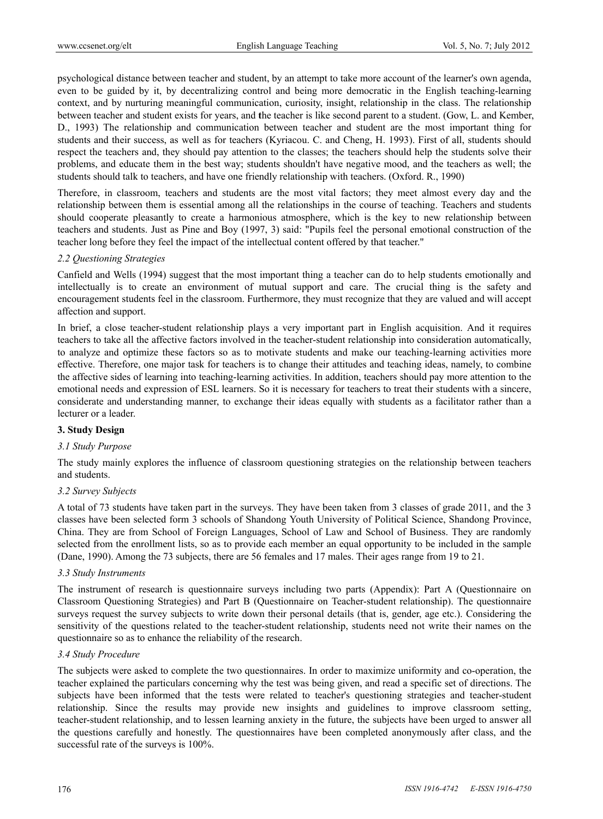psychological distance between teacher and student, by an attempt to take more account of the learner's own agenda, even to be guided by it, by decentralizing control and being more democratic in the English teaching-learning context, and by nurturing meaningful communication, curiosity, insight, relationship in the class. The relationship between teacher and student exists for years, and **t**he teacher is like second parent to a student. (Gow, L. and Kember, D., 1993) The relationship and communication between teacher and student are the most important thing for students and their success, as well as for teachers (Kyriacou. C. and Cheng, H. 1993). First of all, students should respect the teachers and, they should pay attention to the classes; the teachers should help the students solve their problems, and educate them in the best way; students shouldn't have negative mood, and the teachers as well; the students should talk to teachers, and have one friendly relationship with teachers. (Oxford. R., 1990)

Therefore, in classroom, teachers and students are the most vital factors; they meet almost every day and the relationship between them is essential among all the relationships in the course of teaching. Teachers and students should cooperate pleasantly to create a harmonious atmosphere, which is the key to new relationship between teachers and students. Just as Pine and Boy (1997, 3) said: "Pupils feel the personal emotional construction of the teacher long before they feel the impact of the intellectual content offered by that teacher."

## *2.2 Questioning Strategies*

Canfield and Wells (1994) suggest that the most important thing a teacher can do to help students emotionally and intellectually is to create an environment of mutual support and care. The crucial thing is the safety and encouragement students feel in the classroom. Furthermore, they must recognize that they are valued and will accept affection and support.

In brief, a close teacher-student relationship plays a very important part in English acquisition. And it requires teachers to take all the affective factors involved in the teacher-student relationship into consideration automatically, to analyze and optimize these factors so as to motivate students and make our teaching-learning activities more effective. Therefore, one major task for teachers is to change their attitudes and teaching ideas, namely, to combine the affective sides of learning into teaching-learning activities. In addition, teachers should pay more attention to the emotional needs and expression of ESL learners. So it is necessary for teachers to treat their students with a sincere, considerate and understanding manner, to exchange their ideas equally with students as a facilitator rather than a lecturer or a leader.

#### **3. Study Design**

## *3.1 Study Purpose*

The study mainly explores the influence of classroom questioning strategies on the relationship between teachers and students.

#### *3.2 Survey Subjects*

A total of 73 students have taken part in the surveys. They have been taken from 3 classes of grade 2011, and the 3 classes have been selected form 3 schools of Shandong Youth University of Political Science, Shandong Province, China. They are from School of Foreign Languages, School of Law and School of Business. They are randomly selected from the enrollment lists, so as to provide each member an equal opportunity to be included in the sample (Dane, 1990). Among the 73 subjects, there are 56 females and 17 males. Their ages range from 19 to 21.

#### *3.3 Study Instruments*

The instrument of research is questionnaire surveys including two parts (Appendix): Part A (Questionnaire on Classroom Questioning Strategies) and Part B (Questionnaire on Teacher-student relationship). The questionnaire surveys request the survey subjects to write down their personal details (that is, gender, age etc.). Considering the sensitivity of the questions related to the teacher-student relationship, students need not write their names on the questionnaire so as to enhance the reliability of the research.

#### *3.4 Study Procedure*

The subjects were asked to complete the two questionnaires. In order to maximize uniformity and co-operation, the teacher explained the particulars concerning why the test was being given, and read a specific set of directions. The subjects have been informed that the tests were related to teacher's questioning strategies and teacher-student relationship. Since the results may provide new insights and guidelines to improve classroom setting, teacher-student relationship, and to lessen learning anxiety in the future, the subjects have been urged to answer all the questions carefully and honestly. The questionnaires have been completed anonymously after class, and the successful rate of the surveys is 100%.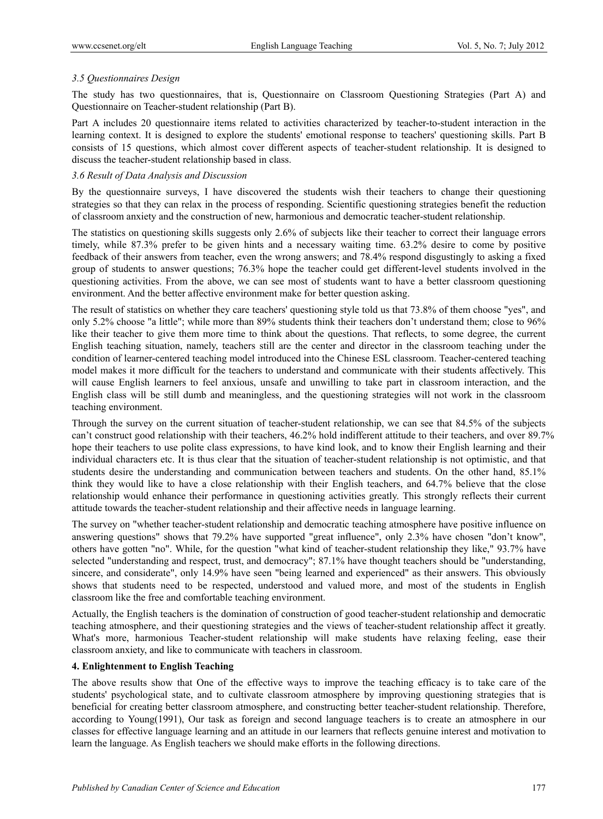## *3.5 Questionnaires Design*

The study has two questionnaires, that is, Questionnaire on Classroom Questioning Strategies (Part A) and Questionnaire on Teacher-student relationship (Part B).

Part A includes 20 questionnaire items related to activities characterized by teacher-to-student interaction in the learning context. It is designed to explore the students' emotional response to teachers' questioning skills. Part B consists of 15 questions, which almost cover different aspects of teacher-student relationship. It is designed to discuss the teacher-student relationship based in class.

## *3.6 Result of Data Analysis and Discussion*

By the questionnaire surveys, I have discovered the students wish their teachers to change their questioning strategies so that they can relax in the process of responding. Scientific questioning strategies benefit the reduction of classroom anxiety and the construction of new, harmonious and democratic teacher-student relationship.

The statistics on questioning skills suggests only 2.6% of subjects like their teacher to correct their language errors timely, while 87.3% prefer to be given hints and a necessary waiting time. 63.2% desire to come by positive feedback of their answers from teacher, even the wrong answers; and 78.4% respond disgustingly to asking a fixed group of students to answer questions; 76.3% hope the teacher could get different-level students involved in the questioning activities. From the above, we can see most of students want to have a better classroom questioning environment. And the better affective environment make for better question asking.

The result of statistics on whether they care teachers' questioning style told us that 73.8% of them choose "yes", and only 5.2% choose "a little"; while more than 89% students think their teachers don't understand them; close to 96% like their teacher to give them more time to think about the questions. That reflects, to some degree, the current English teaching situation, namely, teachers still are the center and director in the classroom teaching under the condition of learner-centered teaching model introduced into the Chinese ESL classroom. Teacher-centered teaching model makes it more difficult for the teachers to understand and communicate with their students affectively. This will cause English learners to feel anxious, unsafe and unwilling to take part in classroom interaction, and the English class will be still dumb and meaningless, and the questioning strategies will not work in the classroom teaching environment.

Through the survey on the current situation of teacher-student relationship, we can see that 84.5% of the subjects can't construct good relationship with their teachers, 46.2% hold indifferent attitude to their teachers, and over 89.7% hope their teachers to use polite class expressions, to have kind look, and to know their English learning and their individual characters etc. It is thus clear that the situation of teacher-student relationship is not optimistic, and that students desire the understanding and communication between teachers and students. On the other hand, 85.1% think they would like to have a close relationship with their English teachers, and 64.7% believe that the close relationship would enhance their performance in questioning activities greatly. This strongly reflects their current attitude towards the teacher-student relationship and their affective needs in language learning.

The survey on "whether teacher-student relationship and democratic teaching atmosphere have positive influence on answering questions" shows that 79.2% have supported "great influence", only 2.3% have chosen "don't know", others have gotten "no". While, for the question "what kind of teacher-student relationship they like," 93.7% have selected "understanding and respect, trust, and democracy"; 87.1% have thought teachers should be "understanding, sincere, and considerate", only 14.9% have seen "being learned and experienced" as their answers. This obviously shows that students need to be respected, understood and valued more, and most of the students in English classroom like the free and comfortable teaching environment.

Actually, the English teachers is the domination of construction of good teacher-student relationship and democratic teaching atmosphere, and their questioning strategies and the views of teacher-student relationship affect it greatly. What's more, harmonious Teacher-student relationship will make students have relaxing feeling, ease their classroom anxiety, and like to communicate with teachers in classroom.

# **4. Enlightenment to English Teaching**

The above results show that One of the effective ways to improve the teaching efficacy is to take care of the students' psychological state, and to cultivate classroom atmosphere by improving questioning strategies that is beneficial for creating better classroom atmosphere, and constructing better teacher-student relationship. Therefore, according to Young(1991), Our task as foreign and second language teachers is to create an atmosphere in our classes for effective language learning and an attitude in our learners that reflects genuine interest and motivation to learn the language. As English teachers we should make efforts in the following directions.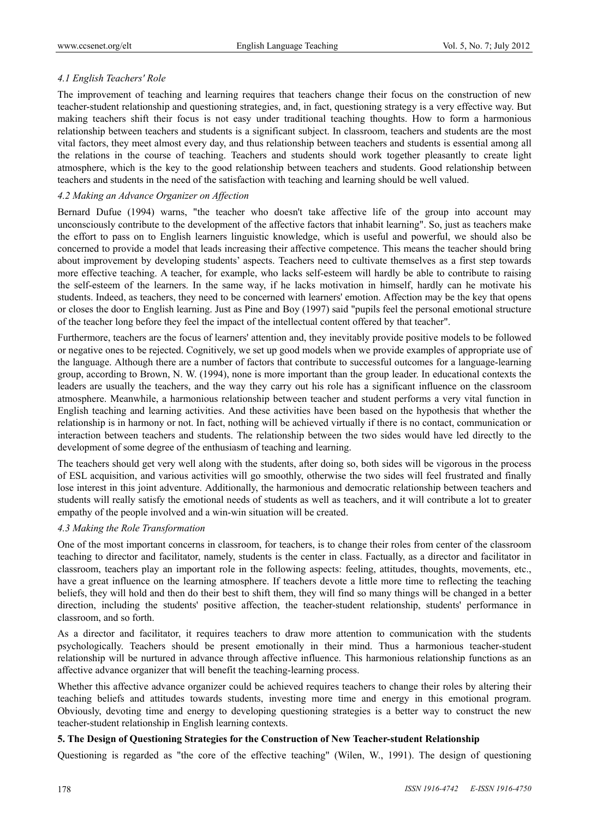## *4.1 English Teachers' Role*

The improvement of teaching and learning requires that teachers change their focus on the construction of new teacher-student relationship and questioning strategies, and, in fact, questioning strategy is a very effective way. But making teachers shift their focus is not easy under traditional teaching thoughts. How to form a harmonious relationship between teachers and students is a significant subject. In classroom, teachers and students are the most vital factors, they meet almost every day, and thus relationship between teachers and students is essential among all the relations in the course of teaching. Teachers and students should work together pleasantly to create light atmosphere, which is the key to the good relationship between teachers and students. Good relationship between teachers and students in the need of the satisfaction with teaching and learning should be well valued.

## *4.2 Making an Advance Organizer on Affection*

Bernard Dufue (1994) warns, "the teacher who doesn't take affective life of the group into account may unconsciously contribute to the development of the affective factors that inhabit learning". So, just as teachers make the effort to pass on to English learners linguistic knowledge, which is useful and powerful, we should also be concerned to provide a model that leads increasing their affective competence. This means the teacher should bring about improvement by developing students' aspects. Teachers need to cultivate themselves as a first step towards more effective teaching. A teacher, for example, who lacks self-esteem will hardly be able to contribute to raising the self-esteem of the learners. In the same way, if he lacks motivation in himself, hardly can he motivate his students. Indeed, as teachers, they need to be concerned with learners' emotion. Affection may be the key that opens or closes the door to English learning. Just as Pine and Boy (1997) said "pupils feel the personal emotional structure of the teacher long before they feel the impact of the intellectual content offered by that teacher".

Furthermore, teachers are the focus of learners' attention and, they inevitably provide positive models to be followed or negative ones to be rejected. Cognitively, we set up good models when we provide examples of appropriate use of the language. Although there are a number of factors that contribute to successful outcomes for a language-learning group, according to Brown, N. W. (1994), none is more important than the group leader. In educational contexts the leaders are usually the teachers, and the way they carry out his role has a significant influence on the classroom atmosphere. Meanwhile, a harmonious relationship between teacher and student performs a very vital function in English teaching and learning activities. And these activities have been based on the hypothesis that whether the relationship is in harmony or not. In fact, nothing will be achieved virtually if there is no contact, communication or interaction between teachers and students. The relationship between the two sides would have led directly to the development of some degree of the enthusiasm of teaching and learning.

The teachers should get very well along with the students, after doing so, both sides will be vigorous in the process of ESL acquisition, and various activities will go smoothly, otherwise the two sides will feel frustrated and finally lose interest in this joint adventure. Additionally, the harmonious and democratic relationship between teachers and students will really satisfy the emotional needs of students as well as teachers, and it will contribute a lot to greater empathy of the people involved and a win-win situation will be created.

## *4.3 Making the Role Transformation*

One of the most important concerns in classroom, for teachers, is to change their roles from center of the classroom teaching to director and facilitator, namely, students is the center in class. Factually, as a director and facilitator in classroom, teachers play an important role in the following aspects: feeling, attitudes, thoughts, movements, etc., have a great influence on the learning atmosphere. If teachers devote a little more time to reflecting the teaching beliefs, they will hold and then do their best to shift them, they will find so many things will be changed in a better direction, including the students' positive affection, the teacher-student relationship, students' performance in classroom, and so forth.

As a director and facilitator, it requires teachers to draw more attention to communication with the students psychologically. Teachers should be present emotionally in their mind. Thus a harmonious teacher-student relationship will be nurtured in advance through affective influence. This harmonious relationship functions as an affective advance organizer that will benefit the teaching-learning process.

Whether this affective advance organizer could be achieved requires teachers to change their roles by altering their teaching beliefs and attitudes towards students, investing more time and energy in this emotional program. Obviously, devoting time and energy to developing questioning strategies is a better way to construct the new teacher-student relationship in English learning contexts.

## **5. The Design of Questioning Strategies for the Construction of New Teacher-student Relationship**

Questioning is regarded as "the core of the effective teaching" (Wilen, W., 1991). The design of questioning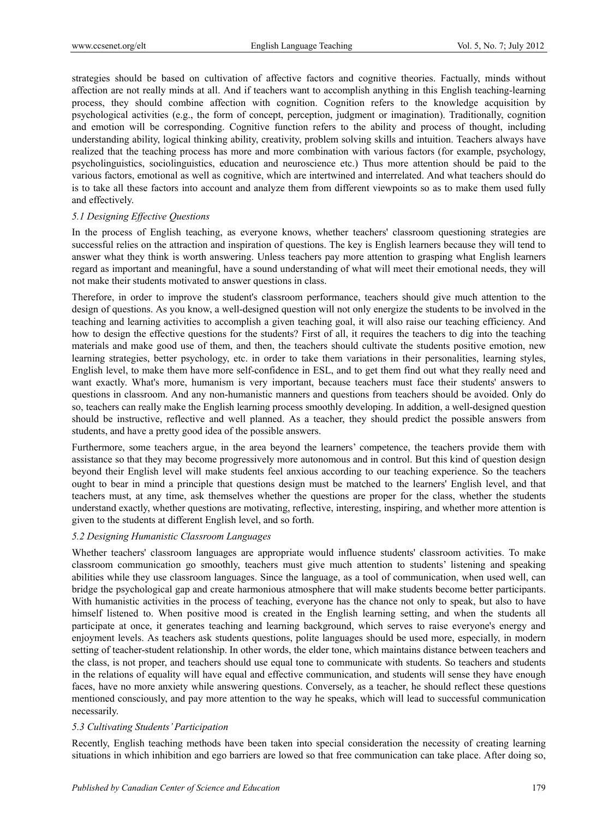strategies should be based on cultivation of affective factors and cognitive theories. Factually, minds without affection are not really minds at all. And if teachers want to accomplish anything in this English teaching-learning process, they should combine affection with cognition. Cognition refers to the knowledge acquisition by psychological activities (e.g., the form of concept, perception, judgment or imagination). Traditionally, cognition and emotion will be corresponding. Cognitive function refers to the ability and process of thought, including understanding ability, logical thinking ability, creativity, problem solving skills and intuition. Teachers always have realized that the teaching process has more and more combination with various factors (for example, psychology, psycholinguistics, sociolinguistics, education and neuroscience etc.) Thus more attention should be paid to the various factors, emotional as well as cognitive, which are intertwined and interrelated. And what teachers should do is to take all these factors into account and analyze them from different viewpoints so as to make them used fully and effectively.

## *5.1 Designing Effective Questions*

In the process of English teaching, as everyone knows, whether teachers' classroom questioning strategies are successful relies on the attraction and inspiration of questions. The key is English learners because they will tend to answer what they think is worth answering. Unless teachers pay more attention to grasping what English learners regard as important and meaningful, have a sound understanding of what will meet their emotional needs, they will not make their students motivated to answer questions in class.

Therefore, in order to improve the student's classroom performance, teachers should give much attention to the design of questions. As you know, a well-designed question will not only energize the students to be involved in the teaching and learning activities to accomplish a given teaching goal, it will also raise our teaching efficiency. And how to design the effective questions for the students? First of all, it requires the teachers to dig into the teaching materials and make good use of them, and then, the teachers should cultivate the students positive emotion, new learning strategies, better psychology, etc. in order to take them variations in their personalities, learning styles, English level, to make them have more self-confidence in ESL, and to get them find out what they really need and want exactly. What's more, humanism is very important, because teachers must face their students' answers to questions in classroom. And any non-humanistic manners and questions from teachers should be avoided. Only do so, teachers can really make the English learning process smoothly developing. In addition, a well-designed question should be instructive, reflective and well planned. As a teacher, they should predict the possible answers from students, and have a pretty good idea of the possible answers.

Furthermore, some teachers argue, in the area beyond the learners' competence, the teachers provide them with assistance so that they may become progressively more autonomous and in control. But this kind of question design beyond their English level will make students feel anxious according to our teaching experience. So the teachers ought to bear in mind a principle that questions design must be matched to the learners' English level, and that teachers must, at any time, ask themselves whether the questions are proper for the class, whether the students understand exactly, whether questions are motivating, reflective, interesting, inspiring, and whether more attention is given to the students at different English level, and so forth.

## *5.2 Designing Humanistic Classroom Languages*

Whether teachers' classroom languages are appropriate would influence students' classroom activities. To make classroom communication go smoothly, teachers must give much attention to students' listening and speaking abilities while they use classroom languages. Since the language, as a tool of communication, when used well, can bridge the psychological gap and create harmonious atmosphere that will make students become better participants. With humanistic activities in the process of teaching, everyone has the chance not only to speak, but also to have himself listened to. When positive mood is created in the English learning setting, and when the students all participate at once, it generates teaching and learning background, which serves to raise everyone's energy and enjoyment levels. As teachers ask students questions, polite languages should be used more, especially, in modern setting of teacher-student relationship. In other words, the elder tone, which maintains distance between teachers and the class, is not proper, and teachers should use equal tone to communicate with students. So teachers and students in the relations of equality will have equal and effective communication, and students will sense they have enough faces, have no more anxiety while answering questions. Conversely, as a teacher, he should reflect these questions mentioned consciously, and pay more attention to the way he speaks, which will lead to successful communication necessarily.

## *5.3 Cultivating Students' Participation*

Recently, English teaching methods have been taken into special consideration the necessity of creating learning situations in which inhibition and ego barriers are lowed so that free communication can take place. After doing so,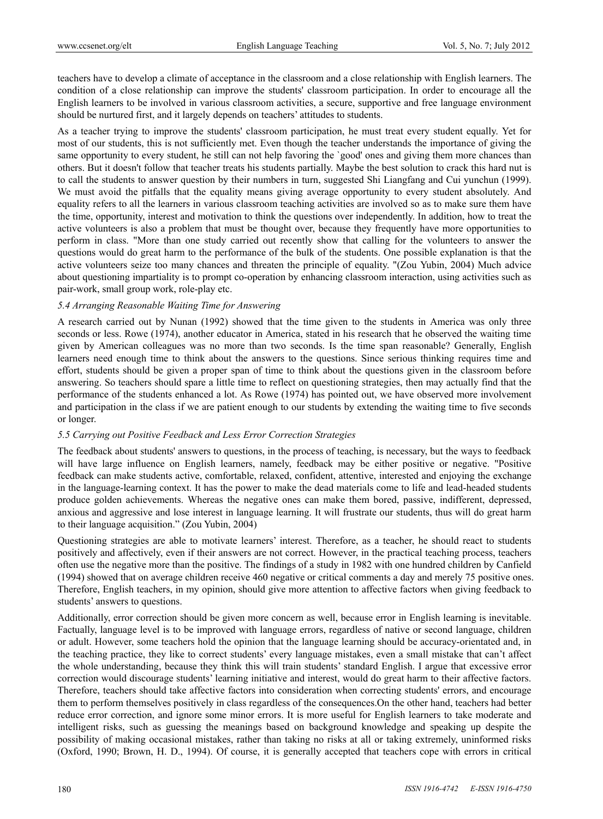teachers have to develop a climate of acceptance in the classroom and a close relationship with English learners. The condition of a close relationship can improve the students' classroom participation. In order to encourage all the English learners to be involved in various classroom activities, a secure, supportive and free language environment should be nurtured first, and it largely depends on teachers' attitudes to students.

As a teacher trying to improve the students' classroom participation, he must treat every student equally. Yet for most of our students, this is not sufficiently met. Even though the teacher understands the importance of giving the same opportunity to every student, he still can not help favoring the `good' ones and giving them more chances than others. But it doesn't follow that teacher treats his students partially. Maybe the best solution to crack this hard nut is to call the students to answer question by their numbers in turn, suggested Shi Liangfang and Cui yunchun (1999). We must avoid the pitfalls that the equality means giving average opportunity to every student absolutely. And equality refers to all the learners in various classroom teaching activities are involved so as to make sure them have the time, opportunity, interest and motivation to think the questions over independently. In addition, how to treat the active volunteers is also a problem that must be thought over, because they frequently have more opportunities to perform in class. "More than one study carried out recently show that calling for the volunteers to answer the questions would do great harm to the performance of the bulk of the students. One possible explanation is that the active volunteers seize too many chances and threaten the principle of equality. "(Zou Yubin, 2004) Much advice about questioning impartiality is to prompt co-operation by enhancing classroom interaction, using activities such as pair-work, small group work, role-play etc.

#### *5.4 Arranging Reasonable Waiting Time for Answering*

A research carried out by Nunan (1992) showed that the time given to the students in America was only three seconds or less. Rowe (1974), another educator in America, stated in his research that he observed the waiting time given by American colleagues was no more than two seconds. Is the time span reasonable? Generally, English learners need enough time to think about the answers to the questions. Since serious thinking requires time and effort, students should be given a proper span of time to think about the questions given in the classroom before answering. So teachers should spare a little time to reflect on questioning strategies, then may actually find that the performance of the students enhanced a lot. As Rowe (1974) has pointed out, we have observed more involvement and participation in the class if we are patient enough to our students by extending the waiting time to five seconds or longer.

#### *5.5 Carrying out Positive Feedback and Less Error Correction Strategies*

The feedback about students' answers to questions, in the process of teaching, is necessary, but the ways to feedback will have large influence on English learners, namely, feedback may be either positive or negative. "Positive feedback can make students active, comfortable, relaxed, confident, attentive, interested and enjoying the exchange in the language-learning context. It has the power to make the dead materials come to life and lead-headed students produce golden achievements. Whereas the negative ones can make them bored, passive, indifferent, depressed, anxious and aggressive and lose interest in language learning. It will frustrate our students, thus will do great harm to their language acquisition." (Zou Yubin, 2004)

Questioning strategies are able to motivate learners' interest. Therefore, as a teacher, he should react to students positively and affectively, even if their answers are not correct. However, in the practical teaching process, teachers often use the negative more than the positive. The findings of a study in 1982 with one hundred children by Canfield (1994) showed that on average children receive 460 negative or critical comments a day and merely 75 positive ones. Therefore, English teachers, in my opinion, should give more attention to affective factors when giving feedback to students' answers to questions.

Additionally, error correction should be given more concern as well, because error in English learning is inevitable. Factually, language level is to be improved with language errors, regardless of native or second language, children or adult. However, some teachers hold the opinion that the language learning should be accuracy-orientated and, in the teaching practice, they like to correct students' every language mistakes, even a small mistake that can't affect the whole understanding, because they think this will train students' standard English. I argue that excessive error correction would discourage students' learning initiative and interest, would do great harm to their affective factors. Therefore, teachers should take affective factors into consideration when correcting students' errors, and encourage them to perform themselves positively in class regardless of the consequences.On the other hand, teachers had better reduce error correction, and ignore some minor errors. It is more useful for English learners to take moderate and intelligent risks, such as guessing the meanings based on background knowledge and speaking up despite the possibility of making occasional mistakes, rather than taking no risks at all or taking extremely, uninformed risks (Oxford, 1990; Brown, H. D., 1994). Of course, it is generally accepted that teachers cope with errors in critical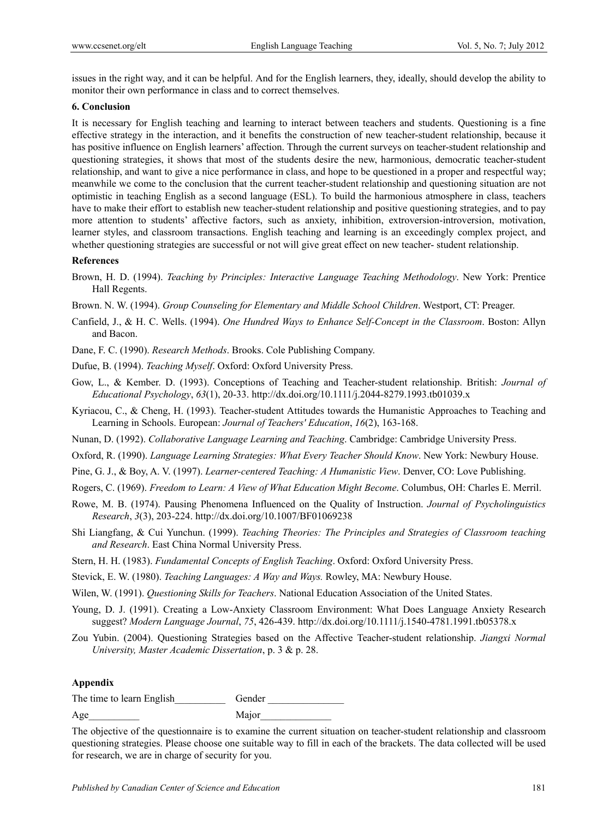issues in the right way, and it can be helpful. And for the English learners, they, ideally, should develop the ability to monitor their own performance in class and to correct themselves.

#### **6. Conclusion**

It is necessary for English teaching and learning to interact between teachers and students. Questioning is a fine effective strategy in the interaction, and it benefits the construction of new teacher-student relationship, because it has positive influence on English learners' affection. Through the current surveys on teacher-student relationship and questioning strategies, it shows that most of the students desire the new, harmonious, democratic teacher-student relationship, and want to give a nice performance in class, and hope to be questioned in a proper and respectful way; meanwhile we come to the conclusion that the current teacher-student relationship and questioning situation are not optimistic in teaching English as a second language (ESL). To build the harmonious atmosphere in class, teachers have to make their effort to establish new teacher-student relationship and positive questioning strategies, and to pay more attention to students' affective factors, such as anxiety, inhibition, extroversion-introversion, motivation, learner styles, and classroom transactions. English teaching and learning is an exceedingly complex project, and whether questioning strategies are successful or not will give great effect on new teacher- student relationship.

#### **References**

- Brown, H. D. (1994). *Teaching by Principles: Interactive Language Teaching Methodology*. New York: Prentice Hall Regents.
- Brown. N. W. (1994). *Group Counseling for Elementary and Middle School Children*. Westport, CT: Preager.
- Canfield, J., & H. C. Wells. (1994). *One Hundred Ways to Enhance Self-Concept in the Classroom*. Boston: Allyn and Bacon.
- Dane, F. C. (1990). *Research Methods*. Brooks. Cole Publishing Company.
- Dufue, B. (1994). *Teaching Myself*. Oxford: Oxford University Press.
- Gow, L., & Kember. D. (1993). Conceptions of Teaching and Teacher-student relationship. British: *Journal of Educational Psychology*, *63*(1), 20-33. http://dx.doi.org/10.1111/j.2044-8279.1993.tb01039.x
- Kyriacou, C., & Cheng, H. (1993). Teacher-student Attitudes towards the Humanistic Approaches to Teaching and Learning in Schools. European: *Journal of Teachers' Education*, *16*(2), 163-168.
- Nunan, D. (1992). *Collaborative Language Learning and Teaching*. Cambridge: Cambridge University Press.
- Oxford, R. (1990). *Language Learning Strategies: What Every Teacher Should Know*. New York: Newbury House.
- Pine, G. J., & Boy, A. V. (1997). *Learner-centered Teaching: A Humanistic View*. Denver, CO: Love Publishing.
- Rogers, C. (1969). *Freedom to Learn: A View of What Education Might Become*. Columbus, OH: Charles E. Merril.
- Rowe, M. B. (1974). Pausing Phenomena Influenced on the Quality of Instruction. *Journal of Psycholinguistics Research*, *3*(3), 203-224. http://dx.doi.org/10.1007/BF01069238
- Shi Liangfang, & Cui Yunchun. (1999). *Teaching Theories: The Principles and Strategies of Classroom teaching and Research*. East China Normal University Press.
- Stern, H. H. (1983). *Fundamental Concepts of English Teaching*. Oxford: Oxford University Press.
- Stevick, E. W. (1980). *Teaching Languages: A Way and Ways.* Rowley, MA: Newbury House.
- Wilen, W. (1991). *Questioning Skills for Teachers*. National Education Association of the United States.
- Young, D. J. (1991). Creating a Low-Anxiety Classroom Environment: What Does Language Anxiety Research suggest? *Modern Language Journal*, *75*, 426-439. http://dx.doi.org/10.1111/j.1540-4781.1991.tb05378.x
- Zou Yubin. (2004). Questioning Strategies based on the Affective Teacher-student relationship. *Jiangxi Normal University, Master Academic Dissertation*, p. 3 & p. 28.

#### **Appendix**

The time to learn English Gender

Age Major

The objective of the questionnaire is to examine the current situation on teacher-student relationship and classroom questioning strategies. Please choose one suitable way to fill in each of the brackets. The data collected will be used for research, we are in charge of security for you.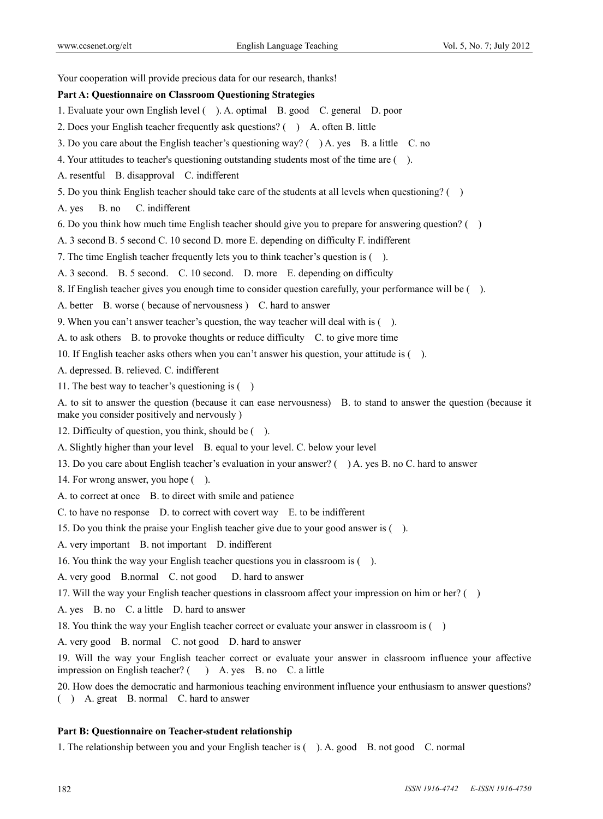Your cooperation will provide precious data for our research, thanks!

#### **Part A: Questionnaire on Classroom Questioning Strategies**

- 1. Evaluate your own English level ( ). A. optimal B. good C. general D. poor
- 2. Does your English teacher frequently ask questions? () A. often B. little
- 3. Do you care about the English teacher's questioning way? ( $\rightarrow$  A. yes B. a little C. no
- 4. Your attitudes to teacher's questioning outstanding students most of the time are ( ).
- A. resentful B. disapproval C. indifferent
- 5. Do you think English teacher should take care of the students at all levels when questioning? ( )
- A. yes B. no C. indifferent
- 6. Do you think how much time English teacher should give you to prepare for answering question? ( )
- A. 3 second B. 5 second C. 10 second D. more E. depending on difficulty F. indifferent
- 7. The time English teacher frequently lets you to think teacher's question is ( ).
- A. 3 second. B. 5 second. C. 10 second. D. more E. depending on difficulty
- 8. If English teacher gives you enough time to consider question carefully, your performance will be ( ).
- A. better B. worse ( because of nervousness ) C. hard to answer
- 9. When you can't answer teacher's question, the way teacher will deal with is ( ).
- A. to ask others B. to provoke thoughts or reduce difficulty C. to give more time
- 10. If English teacher asks others when you can't answer his question, your attitude is ( ).
- A. depressed. B. relieved. C. indifferent
- 11. The best way to teacher's questioning is ( )

A. to sit to answer the question (because it can ease nervousness) B. to stand to answer the question (because it make you consider positively and nervously )

- 12. Difficulty of question, you think, should be ( ).
- A. Slightly higher than your level B. equal to your level. C. below your level
- 13. Do you care about English teacher's evaluation in your answer? ( ) A. yes B. no C. hard to answer
- 14. For wrong answer, you hope ( ).
- A. to correct at once B. to direct with smile and patience
- C. to have no response D. to correct with covert way E. to be indifferent
- 15. Do you think the praise your English teacher give due to your good answer is ( ).
- A. very important B. not important D. indifferent
- 16. You think the way your English teacher questions you in classroom is ( ).
- A. very good B.normal C. not good D. hard to answer
- 17. Will the way your English teacher questions in classroom affect your impression on him or her? ( )
- A. yes B. no C. a little D. hard to answer
- 18. You think the way your English teacher correct or evaluate your answer in classroom is ( )
- A. very good B. normal C. not good D. hard to answer
- 19. Will the way your English teacher correct or evaluate your answer in classroom influence your affective impression on English teacher? () A. yes B. no C. a little

20. How does the democratic and harmonious teaching environment influence your enthusiasm to answer questions? ( ) A. great B. normal C. hard to answer

#### **Part B: Questionnaire on Teacher-student relationship**

1. The relationship between you and your English teacher is ( ). A. good B. not good C. normal